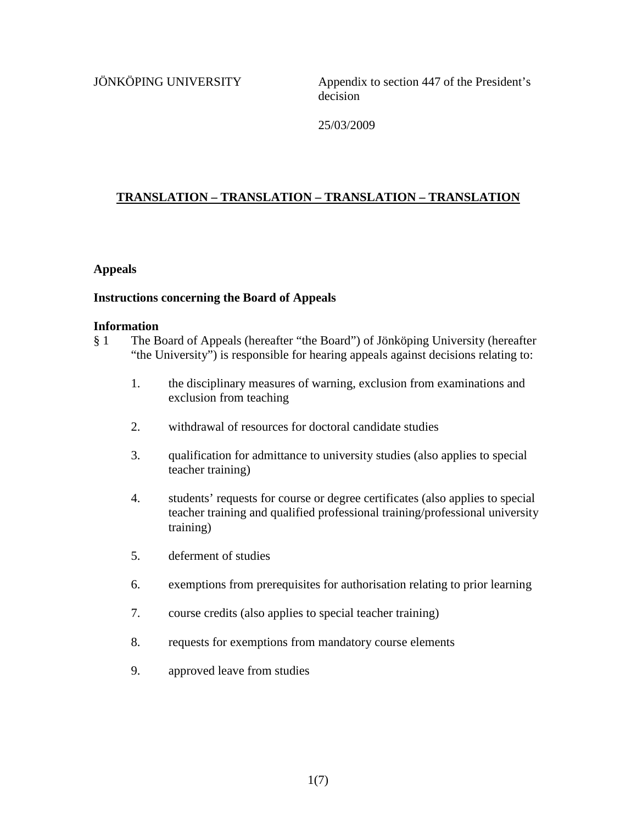JÖNKÖPING UNIVERSITY<br>Appendix to section 447 of the President's decision

25/03/2009

# **TRANSLATION – TRANSLATION – TRANSLATION – TRANSLATION**

#### **Appeals**

### **Instructions concerning the Board of Appeals**

#### **Information**

- § 1 The Board of Appeals (hereafter "the Board") of Jönköping University (hereafter "the University") is responsible for hearing appeals against decisions relating to:
	- 1. the disciplinary measures of warning, exclusion from examinations and exclusion from teaching
	- 2. withdrawal of resources for doctoral candidate studies
	- 3. qualification for admittance to university studies (also applies to special teacher training)
	- 4. students' requests for course or degree certificates (also applies to special teacher training and qualified professional training/professional university training)
	- 5. deferment of studies
	- 6. exemptions from prerequisites for authorisation relating to prior learning
	- 7. course credits (also applies to special teacher training)
	- 8. requests for exemptions from mandatory course elements
	- 9. approved leave from studies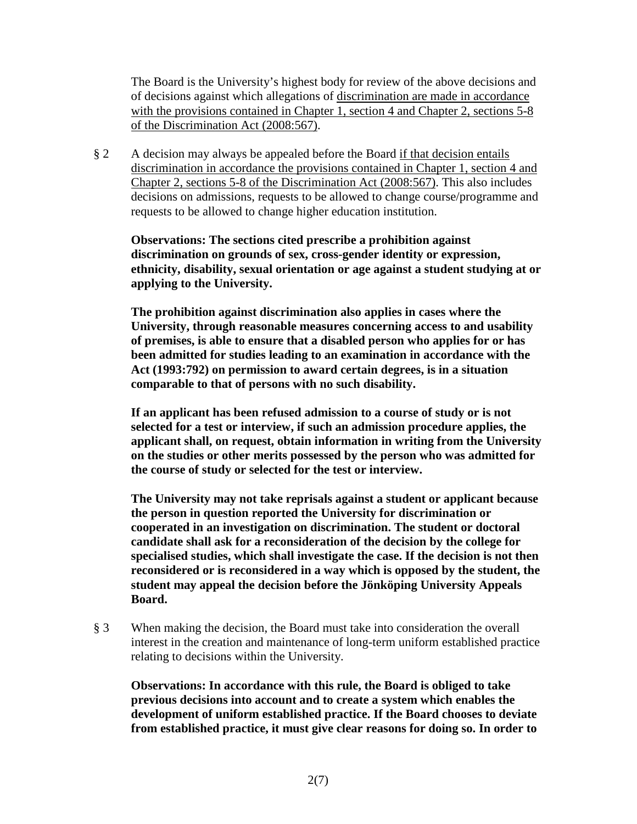The Board is the University's highest body for review of the above decisions and of decisions against which allegations of discrimination are made in accordance with the provisions contained in Chapter 1, section 4 and Chapter 2, sections 5-8 of the Discrimination Act (2008:567).

§ 2 A decision may always be appealed before the Board if that decision entails discrimination in accordance the provisions contained in Chapter 1, section 4 and Chapter 2, sections 5-8 of the Discrimination Act (2008:567). This also includes decisions on admissions, requests to be allowed to change course/programme and requests to be allowed to change higher education institution.

**Observations: The sections cited prescribe a prohibition against discrimination on grounds of sex, cross-gender identity or expression, ethnicity, disability, sexual orientation or age against a student studying at or applying to the University.** 

**The prohibition against discrimination also applies in cases where the University, through reasonable measures concerning access to and usability of premises, is able to ensure that a disabled person who applies for or has been admitted for studies leading to an examination in accordance with the Act (1993:792) on permission to award certain degrees, is in a situation comparable to that of persons with no such disability.** 

**If an applicant has been refused admission to a course of study or is not selected for a test or interview, if such an admission procedure applies, the applicant shall, on request, obtain information in writing from the University on the studies or other merits possessed by the person who was admitted for the course of study or selected for the test or interview.** 

**The University may not take reprisals against a student or applicant because the person in question reported the University for discrimination or cooperated in an investigation on discrimination. The student or doctoral candidate shall ask for a reconsideration of the decision by the college for specialised studies, which shall investigate the case. If the decision is not then reconsidered or is reconsidered in a way which is opposed by the student, the student may appeal the decision before the Jönköping University Appeals Board.** 

§ 3 When making the decision, the Board must take into consideration the overall interest in the creation and maintenance of long-term uniform established practice relating to decisions within the University.

**Observations: In accordance with this rule, the Board is obliged to take previous decisions into account and to create a system which enables the development of uniform established practice. If the Board chooses to deviate from established practice, it must give clear reasons for doing so. In order to**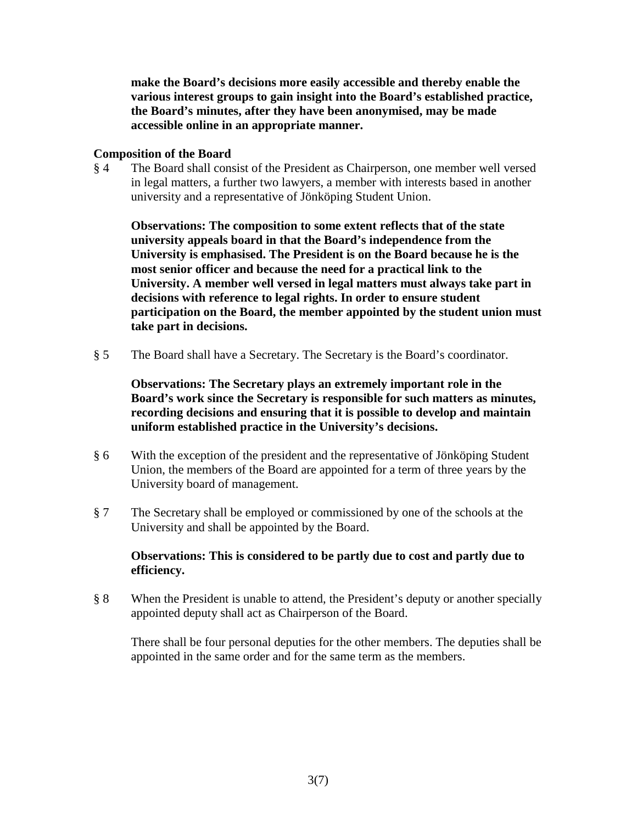**make the Board's decisions more easily accessible and thereby enable the various interest groups to gain insight into the Board's established practice, the Board's minutes, after they have been anonymised, may be made accessible online in an appropriate manner.**

### **Composition of the Board**

§ 4 The Board shall consist of the President as Chairperson, one member well versed in legal matters, a further two lawyers, a member with interests based in another university and a representative of Jönköping Student Union.

**Observations: The composition to some extent reflects that of the state university appeals board in that the Board's independence from the University is emphasised. The President is on the Board because he is the most senior officer and because the need for a practical link to the University. A member well versed in legal matters must always take part in decisions with reference to legal rights. In order to ensure student participation on the Board, the member appointed by the student union must take part in decisions.**

§ 5 The Board shall have a Secretary. The Secretary is the Board's coordinator.

**Observations: The Secretary plays an extremely important role in the Board's work since the Secretary is responsible for such matters as minutes, recording decisions and ensuring that it is possible to develop and maintain uniform established practice in the University's decisions.**

- § 6 With the exception of the president and the representative of Jönköping Student Union, the members of the Board are appointed for a term of three years by the University board of management.
- § 7 The Secretary shall be employed or commissioned by one of the schools at the University and shall be appointed by the Board.

### **Observations: This is considered to be partly due to cost and partly due to efficiency.**

§ 8 When the President is unable to attend, the President's deputy or another specially appointed deputy shall act as Chairperson of the Board.

There shall be four personal deputies for the other members. The deputies shall be appointed in the same order and for the same term as the members.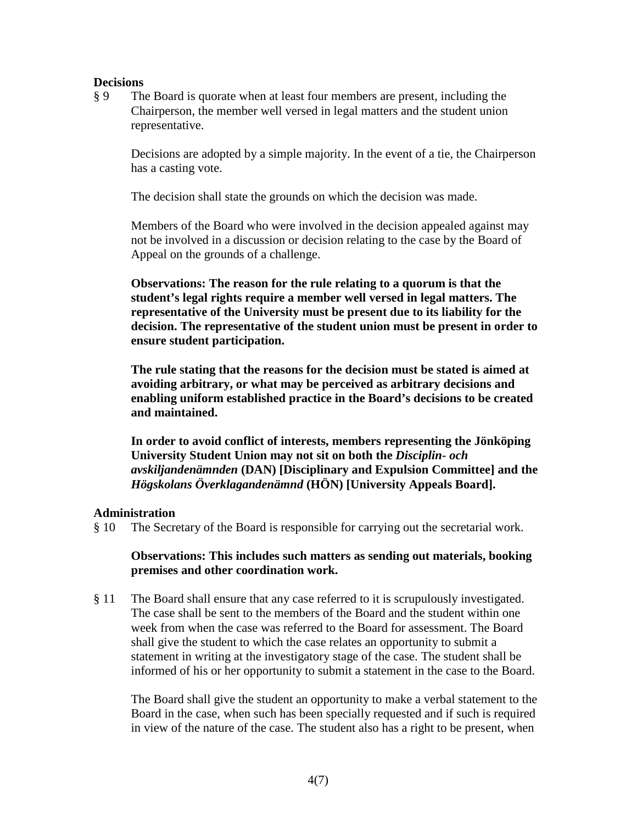#### **Decisions**

§ 9 The Board is quorate when at least four members are present, including the Chairperson, the member well versed in legal matters and the student union representative.

Decisions are adopted by a simple majority. In the event of a tie, the Chairperson has a casting vote.

The decision shall state the grounds on which the decision was made.

Members of the Board who were involved in the decision appealed against may not be involved in a discussion or decision relating to the case by the Board of Appeal on the grounds of a challenge.

**Observations: The reason for the rule relating to a quorum is that the student's legal rights require a member well versed in legal matters. The representative of the University must be present due to its liability for the decision. The representative of the student union must be present in order to ensure student participation.** 

**The rule stating that the reasons for the decision must be stated is aimed at avoiding arbitrary, or what may be perceived as arbitrary decisions and enabling uniform established practice in the Board's decisions to be created and maintained.** 

**In order to avoid conflict of interests, members representing the Jönköping University Student Union may not sit on both the** *Disciplin- och avskiljandenämnden* **(DAN) [Disciplinary and Expulsion Committee] and the**  *Högskolans Överklagandenämnd* **(HÖN) [University Appeals Board].**

#### **Administration**

§ 10 The Secretary of the Board is responsible for carrying out the secretarial work.

#### **Observations: This includes such matters as sending out materials, booking premises and other coordination work.**

§ 11 The Board shall ensure that any case referred to it is scrupulously investigated. The case shall be sent to the members of the Board and the student within one week from when the case was referred to the Board for assessment. The Board shall give the student to which the case relates an opportunity to submit a statement in writing at the investigatory stage of the case. The student shall be informed of his or her opportunity to submit a statement in the case to the Board.

The Board shall give the student an opportunity to make a verbal statement to the Board in the case, when such has been specially requested and if such is required in view of the nature of the case. The student also has a right to be present, when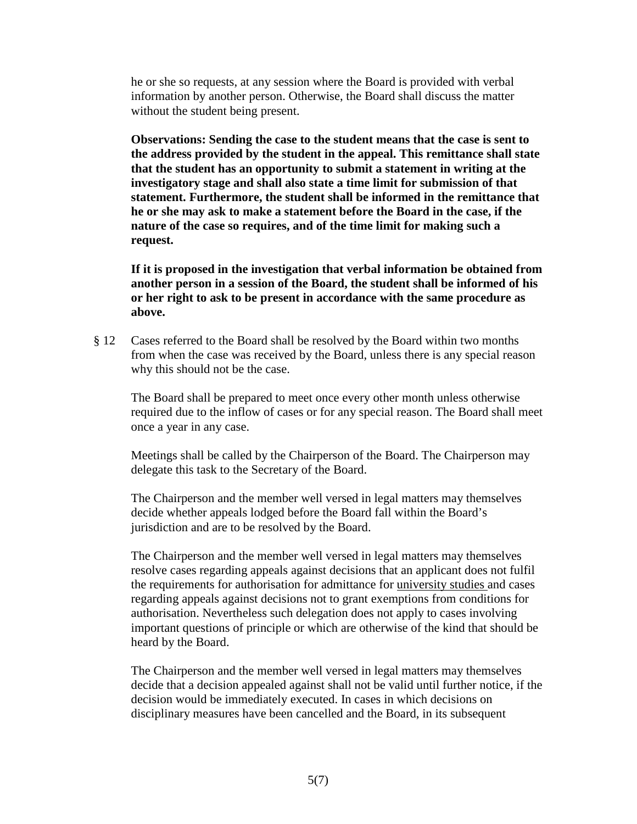he or she so requests, at any session where the Board is provided with verbal information by another person. Otherwise, the Board shall discuss the matter without the student being present.

**Observations: Sending the case to the student means that the case is sent to the address provided by the student in the appeal. This remittance shall state that the student has an opportunity to submit a statement in writing at the investigatory stage and shall also state a time limit for submission of that statement. Furthermore, the student shall be informed in the remittance that he or she may ask to make a statement before the Board in the case, if the nature of the case so requires, and of the time limit for making such a request.** 

**If it is proposed in the investigation that verbal information be obtained from another person in a session of the Board, the student shall be informed of his or her right to ask to be present in accordance with the same procedure as above.**

§ 12 Cases referred to the Board shall be resolved by the Board within two months from when the case was received by the Board, unless there is any special reason why this should not be the case.

The Board shall be prepared to meet once every other month unless otherwise required due to the inflow of cases or for any special reason. The Board shall meet once a year in any case.

Meetings shall be called by the Chairperson of the Board. The Chairperson may delegate this task to the Secretary of the Board.

The Chairperson and the member well versed in legal matters may themselves decide whether appeals lodged before the Board fall within the Board's jurisdiction and are to be resolved by the Board.

The Chairperson and the member well versed in legal matters may themselves resolve cases regarding appeals against decisions that an applicant does not fulfil the requirements for authorisation for admittance for university studies and cases regarding appeals against decisions not to grant exemptions from conditions for authorisation. Nevertheless such delegation does not apply to cases involving important questions of principle or which are otherwise of the kind that should be heard by the Board.

The Chairperson and the member well versed in legal matters may themselves decide that a decision appealed against shall not be valid until further notice, if the decision would be immediately executed. In cases in which decisions on disciplinary measures have been cancelled and the Board, in its subsequent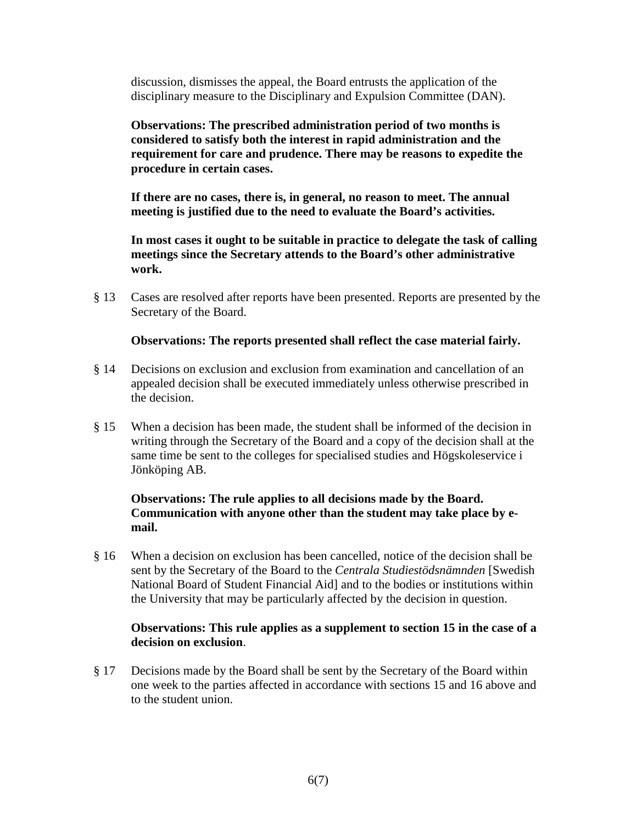discussion, dismisses the appeal, the Board entrusts the application of the disciplinary measure to the Disciplinary and Expulsion Committee (DAN).

**Observations: The prescribed administration period of two months is considered to satisfy both the interest in rapid administration and the requirement for care and prudence. There may be reasons to expedite the procedure in certain cases.** 

**If there are no cases, there is, in general, no reason to meet. The annual meeting is justified due to the need to evaluate the Board's activities.** 

**In most cases it ought to be suitable in practice to delegate the task of calling meetings since the Secretary attends to the Board's other administrative work.** 

§ 13 Cases are resolved after reports have been presented. Reports are presented by the Secretary of the Board.

### **Observations: The reports presented shall reflect the case material fairly.**

- § 14 Decisions on exclusion and exclusion from examination and cancellation of an appealed decision shall be executed immediately unless otherwise prescribed in the decision.
- § 15 When a decision has been made, the student shall be informed of the decision in writing through the Secretary of the Board and a copy of the decision shall at the same time be sent to the colleges for specialised studies and Högskoleservice i Jönköping AB.

## **Observations: The rule applies to all decisions made by the Board. Communication with anyone other than the student may take place by email.**

§ 16 When a decision on exclusion has been cancelled, notice of the decision shall be sent by the Secretary of the Board to the *Centrala Studiestödsnämnden* [Swedish National Board of Student Financial Aid] and to the bodies or institutions within the University that may be particularly affected by the decision in question.

### **Observations: This rule applies as a supplement to section 15 in the case of a decision on exclusion**.

§ 17 Decisions made by the Board shall be sent by the Secretary of the Board within one week to the parties affected in accordance with sections 15 and 16 above and to the student union.